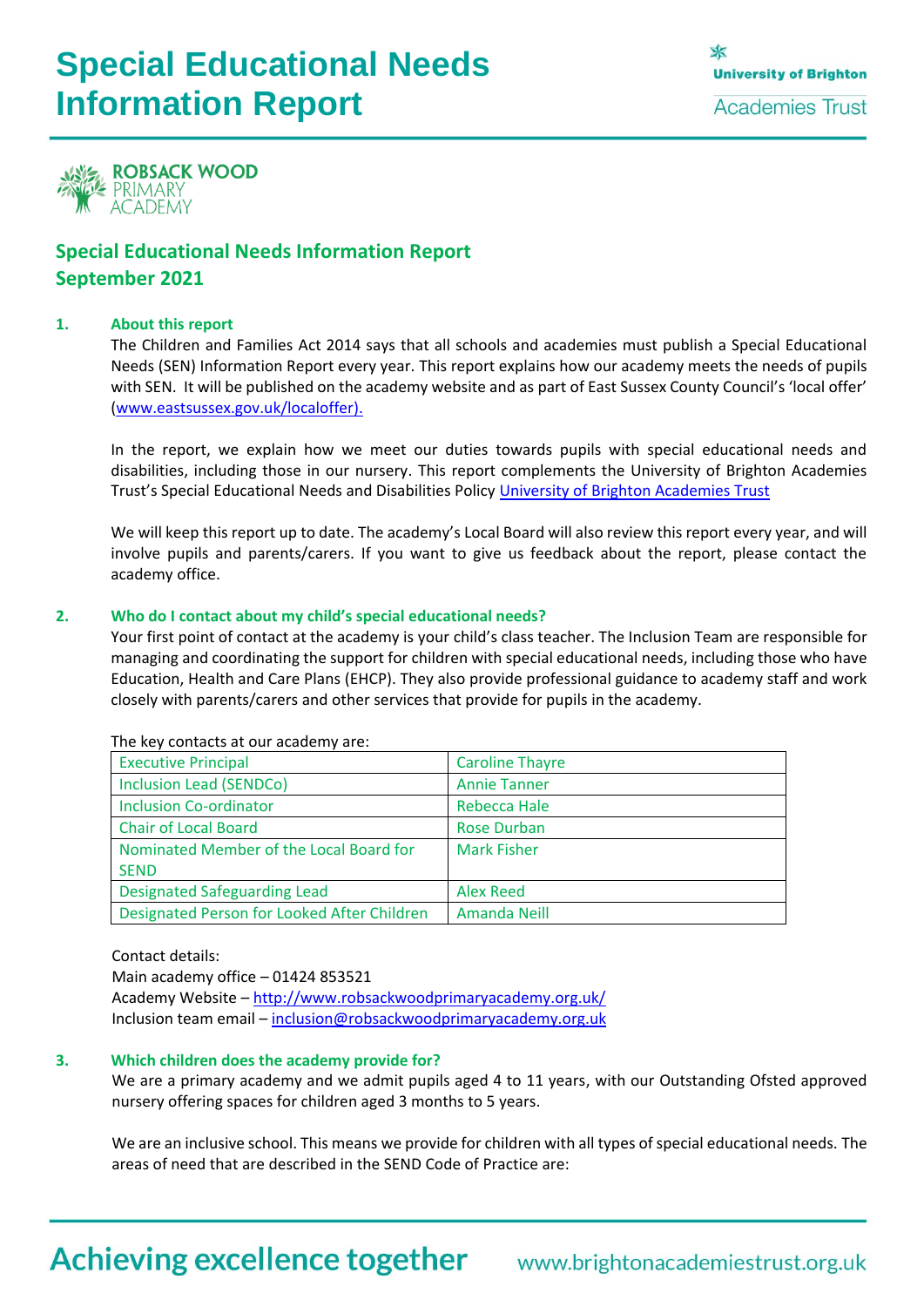# **Special Educational Needs Information Report**



### **Special Educational Needs Information Report September 2021**

#### **1. About this report**

The Children and Families Act 2014 says that all schools and academies must publish a Special Educational Needs (SEN) Information Report every year. This report explains how our academy meets the needs of pupils with SEN. It will be published on the academy website and as part of East Sussex County Council's 'local offer' [\(www.eastsussex.gov.uk/localoffer\)](http://www.eastsussex.gov.uk/localoffer).

In the report, we explain how we meet our duties towards pupils with special educational needs and disabilities, including those in our nursery. This report complements the University of Brighton Academies Trust's Special Educational Needs and Disabilities Policy [University of Brighton Academies Trust](http://www.brightonacademiestrust.org.uk/about/policies)

We will keep this report up to date. The academy's Local Board will also review this report every year, and will involve pupils and parents/carers. If you want to give us feedback about the report, please contact the academy office.

#### **2. Who do I contact about my child's special educational needs?**

Your first point of contact at the academy is your child's class teacher. The Inclusion Team are responsible for managing and coordinating the support for children with special educational needs, including those who have Education, Health and Care Plans (EHCP). They also provide professional guidance to academy staff and work closely with parents/carers and other services that provide for pupils in the academy.

| <b>Executive Principal</b>                  | <b>Caroline Thayre</b> |
|---------------------------------------------|------------------------|
| <b>Inclusion Lead (SENDCo)</b>              | <b>Annie Tanner</b>    |
| <b>Inclusion Co-ordinator</b>               | Rebecca Hale           |
| <b>Chair of Local Board</b>                 | <b>Rose Durban</b>     |
| Nominated Member of the Local Board for     | <b>Mark Fisher</b>     |
| <b>SEND</b>                                 |                        |
| <b>Designated Safeguarding Lead</b>         | <b>Alex Reed</b>       |
| Designated Person for Looked After Children | <b>Amanda Neill</b>    |

The key contacts at our academy are:

Contact details:

Main academy office – 01424 853521

Academy Website – <http://www.robsackwoodprimaryacademy.org.uk/> Inclusion team email – [inclusion@robsackwoodprimaryacademy.org.uk](mailto:inclusion@robsackwoodprimaryacademy.org.uk)

#### **3. Which children does the academy provide for?**

We are a primary academy and we admit pupils aged 4 to 11 years, with our Outstanding Ofsted approved nursery offering spaces for children aged 3 months to 5 years.

We are an inclusive school. This means we provide for children with all types of special educational needs. The areas of need that are described in the SEND Code of Practice are:

### **Achieving excellence together**

### www.brightonacademiestrust.org.uk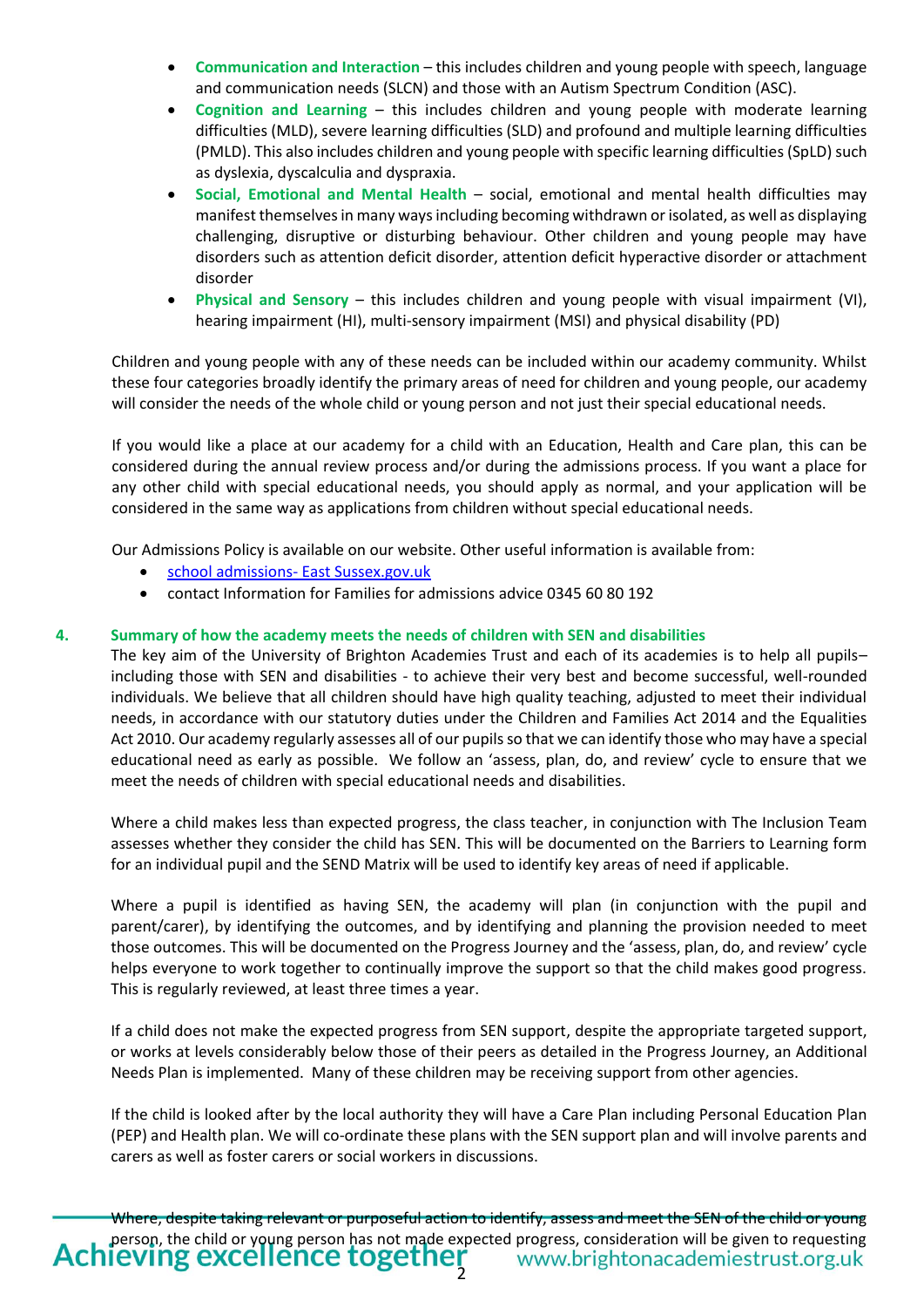- **Communication and Interaction** this includes children and young people with speech, language and communication needs (SLCN) and those with an Autism Spectrum Condition (ASC).
- **Cognition and Learning** this includes children and young people with moderate learning difficulties (MLD), severe learning difficulties (SLD) and profound and multiple learning difficulties (PMLD). This also includes children and young people with specific learning difficulties (SpLD) such as dyslexia, dyscalculia and dyspraxia.
- **Social, Emotional and Mental Health** social, emotional and mental health difficulties may manifest themselves in many ways including becoming withdrawn or isolated, as well as displaying challenging, disruptive or disturbing behaviour. Other children and young people may have disorders such as attention deficit disorder, attention deficit hyperactive disorder or attachment disorder
- **Physical and Sensory** this includes children and young people with visual impairment (VI), hearing impairment (HI), multi-sensory impairment (MSI) and physical disability (PD)

Children and young people with any of these needs can be included within our academy community. Whilst these four categories broadly identify the primary areas of need for children and young people, our academy will consider the needs of the whole child or young person and not just their special educational needs.

If you would like a place at our academy for a child with an Education, Health and Care plan, this can be considered during the annual review process and/or during the admissions process. If you want a place for any other child with special educational needs, you should apply as normal, and your application will be considered in the same way as applications from children without special educational needs.

Our Admissions Policy is available on our website. Other useful information is available from:

- [school admissions-](http://www.eastsussex.gov.uk/educationandlearning/schools/findingaschool/default.htm) East Sussex.gov.uk
- contact Information for Families for admissions advice 0345 60 80 192

#### **4. Summary of how the academy meets the needs of children with SEN and disabilities**

The key aim of the University of Brighton Academies Trust and each of its academies is to help all pupils– including those with SEN and disabilities - to achieve their very best and become successful, well-rounded individuals. We believe that all children should have high quality teaching, adjusted to meet their individual needs, in accordance with our statutory duties under the Children and Families Act 2014 and the Equalities Act 2010. Our academy regularly assesses all of our pupils so that we can identify those who may have a special educational need as early as possible. We follow an 'assess, plan, do, and review' cycle to ensure that we meet the needs of children with special educational needs and disabilities.

Where a child makes less than expected progress, the class teacher, in conjunction with The Inclusion Team assesses whether they consider the child has SEN. This will be documented on the Barriers to Learning form for an individual pupil and the SEND Matrix will be used to identify key areas of need if applicable.

Where a pupil is identified as having SEN, the academy will plan (in conjunction with the pupil and parent/carer), by identifying the outcomes, and by identifying and planning the provision needed to meet those outcomes. This will be documented on the Progress Journey and the 'assess, plan, do, and review' cycle helps everyone to work together to continually improve the support so that the child makes good progress. This is regularly reviewed, at least three times a year.

If a child does not make the expected progress from SEN support, despite the appropriate targeted support, or works at levels considerably below those of their peers as detailed in the Progress Journey, an Additional Needs Plan is implemented. Many of these children may be receiving support from other agencies.

If the child is looked after by the local authority they will have a Care Plan including Personal Education Plan (PEP) and Health plan. We will co-ordinate these plans with the SEN support plan and will involve parents and carers as well as foster carers or social workers in discussions.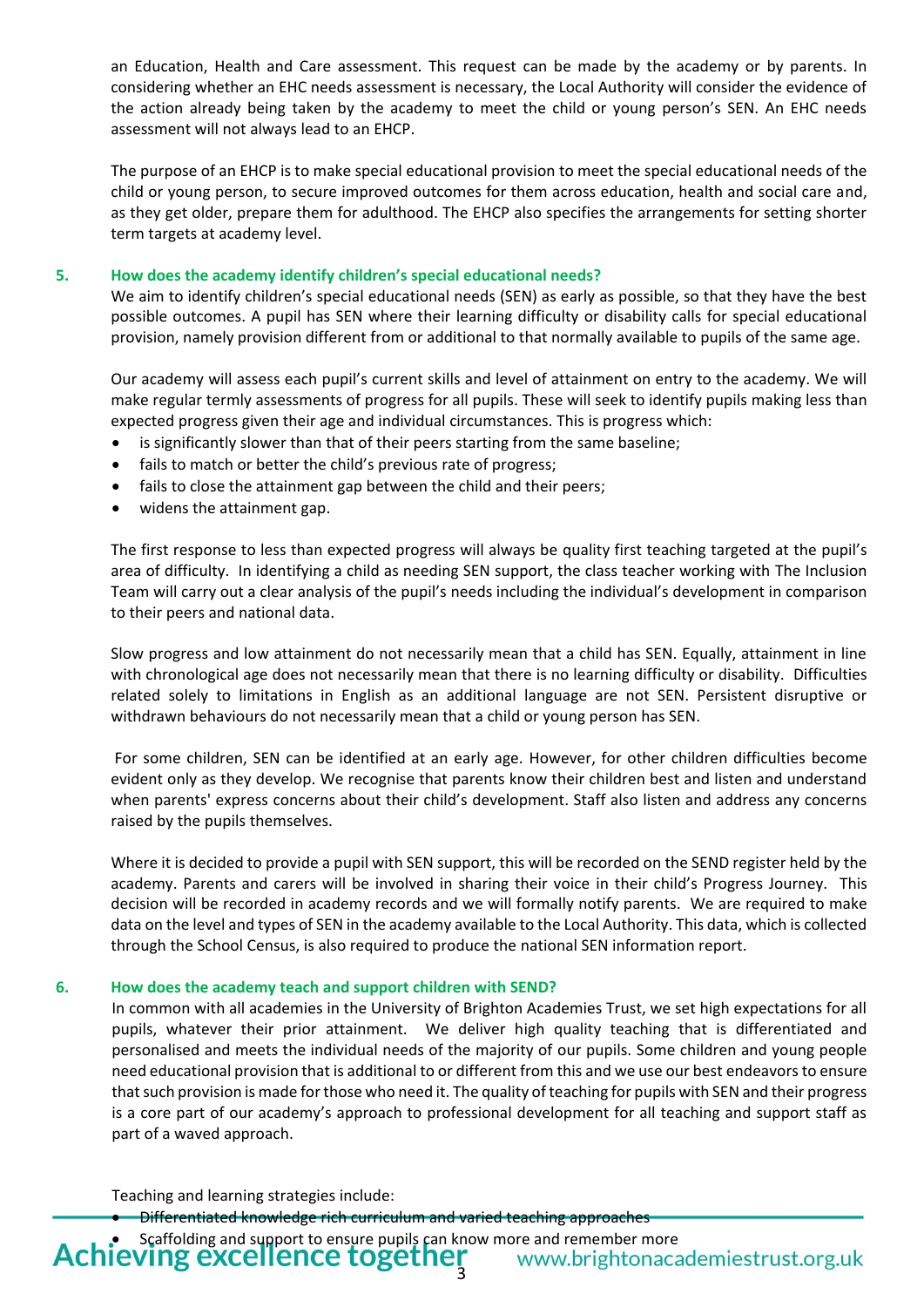an Education, Health and Care assessment. This request can be made by the academy or by parents. In considering whether an EHC needs assessment is necessary, the Local Authority will consider the evidence of the action already being taken by the academy to meet the child or young person's SEN. An EHC needs assessment will not always lead to an EHCP.

The purpose of an EHCP is to make special educational provision to meet the special educational needs of the child or young person, to secure improved outcomes for them across education, health and social care and, as they get older, prepare them for adulthood. The EHCP also specifies the arrangements for setting shorter term targets at academy level.

#### **5. How does the academy identify children's special educational needs?**

We aim to identify children's special educational needs (SEN) as early as possible, so that they have the best possible outcomes. A pupil has SEN where their learning difficulty or disability calls for special educational provision, namely provision different from or additional to that normally available to pupils of the same age.

Our academy will assess each pupil's current skills and level of attainment on entry to the academy. We will make regular termly assessments of progress for all pupils. These will seek to identify pupils making less than expected progress given their age and individual circumstances. This is progress which:

- is significantly slower than that of their peers starting from the same baseline;
- fails to match or better the child's previous rate of progress;
- fails to close the attainment gap between the child and their peers;
- widens the attainment gap.

The first response to less than expected progress will always be quality first teaching targeted at the pupil's area of difficulty. In identifying a child as needing SEN support, the class teacher working with The Inclusion Team will carry out a clear analysis of the pupil's needs including the individual's development in comparison to their peers and national data.

Slow progress and low attainment do not necessarily mean that a child has SEN. Equally, attainment in line with chronological age does not necessarily mean that there is no learning difficulty or disability. Difficulties related solely to limitations in English as an additional language are not SEN. Persistent disruptive or withdrawn behaviours do not necessarily mean that a child or young person has SEN.

For some children, SEN can be identified at an early age. However, for other children difficulties become evident only as they develop. We recognise that parents know their children best and listen and understand when parents' express concerns about their child's development. Staff also listen and address any concerns raised by the pupils themselves.

Where it is decided to provide a pupil with SEN support, this will be recorded on the SEND register held by the academy. Parents and carers will be involved in sharing their voice in their child's Progress Journey. This decision will be recorded in academy records and we will formally notify parents. We are required to make data on the level and types of SEN in the academy available to the Local Authority. This data, which is collected through the School Census, is also required to produce the national SEN information report.

#### **6. How does the academy teach and support children with SEND?**

In common with all academies in the University of Brighton Academies Trust, we set high expectations for all pupils, whatever their prior attainment. We deliver high quality teaching that is differentiated and personalised and meets the individual needs of the majority of our pupils. Some children and young people need educational provision that is additional to or different from this and we use our best endeavorsto ensure that such provision is made for those who need it. The quality of teaching for pupils with SEN and their progress is a core part of our academy's approach to professional development for all teaching and support staff as part of a waved approach.

Teaching and learning strategies include:

• Differentiated knowledge rich curriculum and varied teaching approaches

Achieving excellence together Scaffolding and support to ensure pupils can know more and remember more<br> **VING EXCELLENCE LOGELNEL** WWW.brightonacademiestrust.org.uk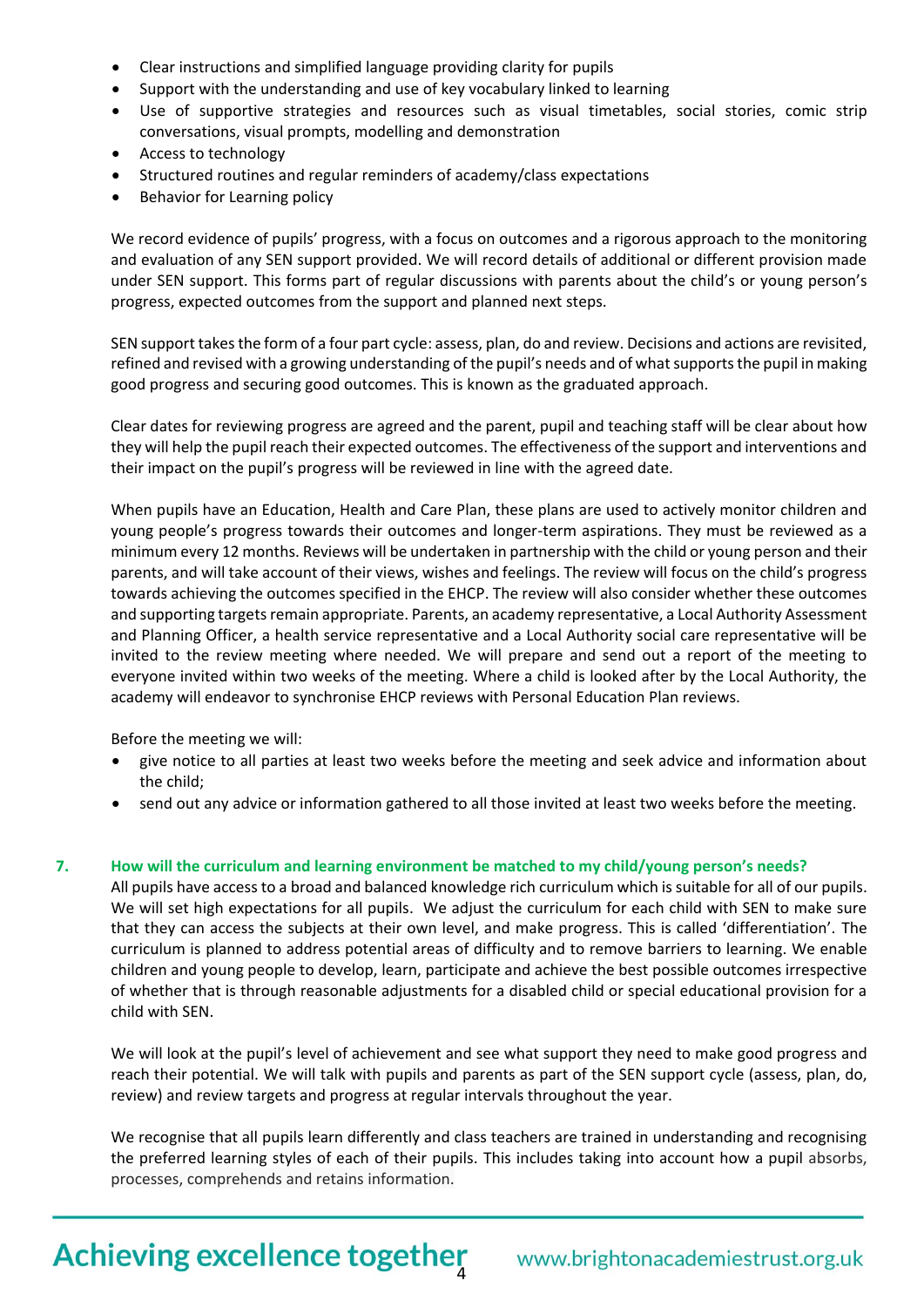- Clear instructions and simplified language providing clarity for pupils
- Support with the understanding and use of key vocabulary linked to learning
- Use of supportive strategies and resources such as visual timetables, social stories, comic strip conversations, visual prompts, modelling and demonstration
- Access to technology
- Structured routines and regular reminders of academy/class expectations
- Behavior for Learning policy

We record evidence of pupils' progress, with a focus on outcomes and a rigorous approach to the monitoring and evaluation of any SEN support provided. We will record details of additional or different provision made under SEN support. This forms part of regular discussions with parents about the child's or young person's progress, expected outcomes from the support and planned next steps.

SEN support takes the form of a four part cycle: assess, plan, do and review. Decisions and actions are revisited, refined and revised with a growing understanding of the pupil's needs and of what supports the pupil in making good progress and securing good outcomes. This is known as the graduated approach.

Clear dates for reviewing progress are agreed and the parent, pupil and teaching staff will be clear about how they will help the pupil reach their expected outcomes. The effectiveness of the support and interventions and their impact on the pupil's progress will be reviewed in line with the agreed date.

When pupils have an Education, Health and Care Plan, these plans are used to actively monitor children and young people's progress towards their outcomes and longer-term aspirations. They must be reviewed as a minimum every 12 months. Reviews will be undertaken in partnership with the child or young person and their parents, and will take account of their views, wishes and feelings. The review will focus on the child's progress towards achieving the outcomes specified in the EHCP. The review will also consider whether these outcomes and supporting targets remain appropriate. Parents, an academy representative, a Local Authority Assessment and Planning Officer, a health service representative and a Local Authority social care representative will be invited to the review meeting where needed. We will prepare and send out a report of the meeting to everyone invited within two weeks of the meeting. Where a child is looked after by the Local Authority, the academy will endeavor to synchronise EHCP reviews with Personal Education Plan reviews.

Before the meeting we will:

- give notice to all parties at least two weeks before the meeting and seek advice and information about the child;
- send out any advice or information gathered to all those invited at least two weeks before the meeting.

#### **7. How will the curriculum and learning environment be matched to my child/young person's needs?**

All pupils have access to a broad and balanced knowledge rich curriculum which is suitable for all of our pupils. We will set high expectations for all pupils. We adjust the curriculum for each child with SEN to make sure that they can access the subjects at their own level, and make progress. This is called 'differentiation'. The curriculum is planned to address potential areas of difficulty and to remove barriers to learning. We enable children and young people to develop, learn, participate and achieve the best possible outcomes irrespective of whether that is through reasonable adjustments for a disabled child or special educational provision for a child with SEN.

We will look at the pupil's level of achievement and see what support they need to make good progress and reach their potential. We will talk with pupils and parents as part of the SEN support cycle (assess, plan, do, review) and review targets and progress at regular intervals throughout the year.

We recognise that all pupils learn differently and class teachers are trained in understanding and recognising the preferred learning styles of each of their pupils. This includes taking into account how a pupil absorbs, processes, comprehends and retains information.

# Achieving excellence together www.brightonacademiestrust.org.uk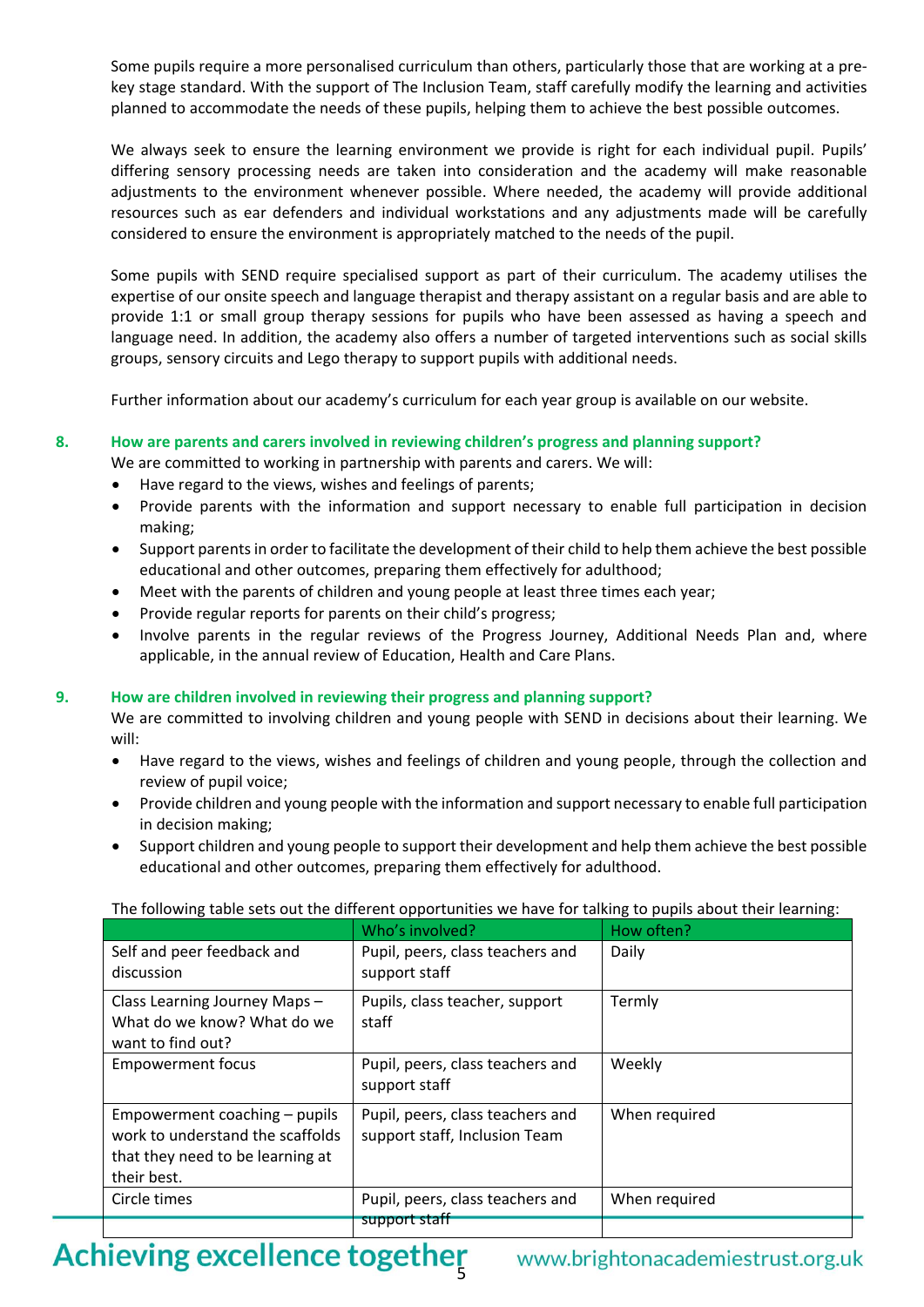Some pupils require a more personalised curriculum than others, particularly those that are working at a prekey stage standard. With the support of The Inclusion Team, staff carefully modify the learning and activities planned to accommodate the needs of these pupils, helping them to achieve the best possible outcomes.

We always seek to ensure the learning environment we provide is right for each individual pupil. Pupils' differing sensory processing needs are taken into consideration and the academy will make reasonable adjustments to the environment whenever possible. Where needed, the academy will provide additional resources such as ear defenders and individual workstations and any adjustments made will be carefully considered to ensure the environment is appropriately matched to the needs of the pupil.

Some pupils with SEND require specialised support as part of their curriculum. The academy utilises the expertise of our onsite speech and language therapist and therapy assistant on a regular basis and are able to provide 1:1 or small group therapy sessions for pupils who have been assessed as having a speech and language need. In addition, the academy also offers a number of targeted interventions such as social skills groups, sensory circuits and Lego therapy to support pupils with additional needs.

Further information about our academy's curriculum for each year group is available on our website.

#### **8. How are parents and carers involved in reviewing children's progress and planning support?**

We are committed to working in partnership with parents and carers. We will:

- Have regard to the views, wishes and feelings of parents;
- Provide parents with the information and support necessary to enable full participation in decision making;
- Support parents in order to facilitate the development of their child to help them achieve the best possible educational and other outcomes, preparing them effectively for adulthood;
- Meet with the parents of children and young people at least three times each year;
- Provide regular reports for parents on their child's progress;
- Involve parents in the regular reviews of the Progress Journey, Additional Needs Plan and, where applicable, in the annual review of Education, Health and Care Plans.

#### **9. How are children involved in reviewing their progress and planning support?**

We are committed to involving children and young people with SEND in decisions about their learning. We will:

- Have regard to the views, wishes and feelings of children and young people, through the collection and review of pupil voice;
- Provide children and young people with the information and support necessary to enable full participation in decision making;
- Support children and young people to support their development and help them achieve the best possible educational and other outcomes, preparing them effectively for adulthood.

#### The following table sets out the different opportunities we have for talking to pupils about their learning:

|                                                                                                                      | Who's involved?                                                   | How often?    |
|----------------------------------------------------------------------------------------------------------------------|-------------------------------------------------------------------|---------------|
| Self and peer feedback and<br>discussion                                                                             | Pupil, peers, class teachers and<br>support staff                 | Daily         |
| Class Learning Journey Maps -<br>What do we know? What do we<br>want to find out?                                    | Pupils, class teacher, support<br>staff                           | Termly        |
| <b>Empowerment focus</b>                                                                                             | Pupil, peers, class teachers and<br>support staff                 | Weekly        |
| Empowerment coaching - pupils<br>work to understand the scaffolds<br>that they need to be learning at<br>their best. | Pupil, peers, class teachers and<br>support staff, Inclusion Team | When required |
| Circle times                                                                                                         | Pupil, peers, class teachers and                                  | When required |
|                                                                                                                      | support staff                                                     |               |

## Achieving excellence together www.brightonacademiestrust.org.uk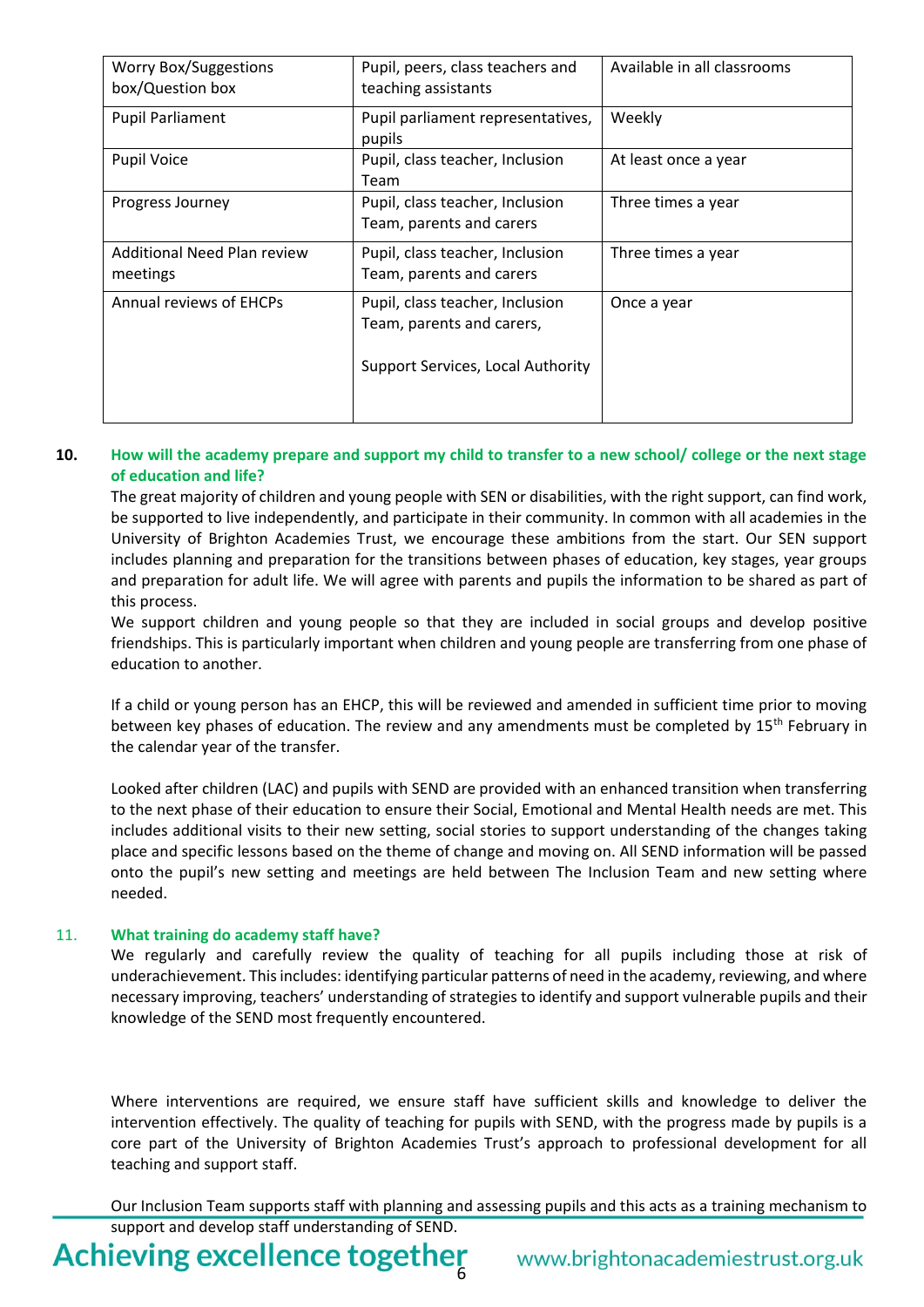| <b>Worry Box/Suggestions</b><br>box/Question box | Pupil, peers, class teachers and<br>teaching assistants      | Available in all classrooms |
|--------------------------------------------------|--------------------------------------------------------------|-----------------------------|
| <b>Pupil Parliament</b>                          | Pupil parliament representatives,<br>pupils                  | Weekly                      |
| <b>Pupil Voice</b>                               | Pupil, class teacher, Inclusion<br>Team                      | At least once a year        |
| Progress Journey                                 | Pupil, class teacher, Inclusion<br>Team, parents and carers  | Three times a year          |
| <b>Additional Need Plan review</b><br>meetings   | Pupil, class teacher, Inclusion<br>Team, parents and carers  | Three times a year          |
| <b>Annual reviews of EHCPs</b>                   | Pupil, class teacher, Inclusion<br>Team, parents and carers, | Once a year                 |
|                                                  | Support Services, Local Authority                            |                             |

### **10. How will the academy prepare and support my child to transfer to a new school/ college or the next stage of education and life?**

The great majority of children and young people with SEN or disabilities, with the right support, can find work, be supported to live independently, and participate in their community. In common with all academies in the University of Brighton Academies Trust, we encourage these ambitions from the start. Our SEN support includes planning and preparation for the transitions between phases of education, key stages, year groups and preparation for adult life. We will agree with parents and pupils the information to be shared as part of this process.

We support children and young people so that they are included in social groups and develop positive friendships. This is particularly important when children and young people are transferring from one phase of education to another.

If a child or young person has an EHCP, this will be reviewed and amended in sufficient time prior to moving between key phases of education. The review and any amendments must be completed by 15<sup>th</sup> February in the calendar year of the transfer.

Looked after children (LAC) and pupils with SEND are provided with an enhanced transition when transferring to the next phase of their education to ensure their Social, Emotional and Mental Health needs are met. This includes additional visits to their new setting, social stories to support understanding of the changes taking place and specific lessons based on the theme of change and moving on. All SEND information will be passed onto the pupil's new setting and meetings are held between The Inclusion Team and new setting where needed.

#### 11. **What training do academy staff have?**

We regularly and carefully review the quality of teaching for all pupils including those at risk of underachievement. This includes: identifying particular patterns of need in the academy, reviewing, and where necessary improving, teachers' understanding of strategies to identify and support vulnerable pupils and their knowledge of the SEND most frequently encountered.

Where interventions are required, we ensure staff have sufficient skills and knowledge to deliver the intervention effectively. The quality of teaching for pupils with SEND, with the progress made by pupils is a core part of the University of Brighton Academies Trust's approach to professional development for all teaching and support staff.

Our Inclusion Team supports staff with planning and assessing pupils and this acts as a training mechanism to support and develop staff understanding of SEND.

**Achieving excellence together**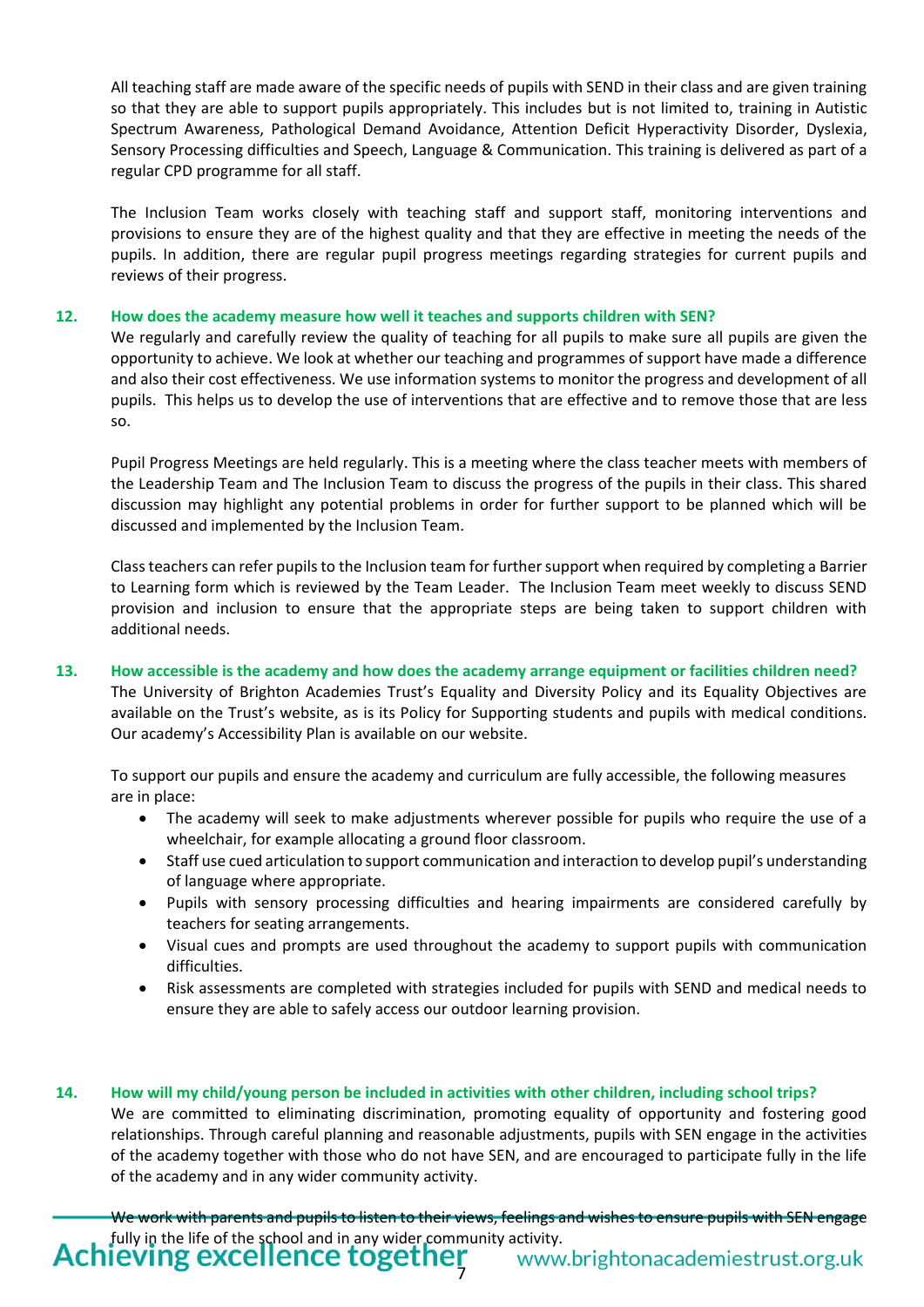All teaching staff are made aware of the specific needs of pupils with SEND in their class and are given training so that they are able to support pupils appropriately. This includes but is not limited to, training in Autistic Spectrum Awareness, Pathological Demand Avoidance, Attention Deficit Hyperactivity Disorder, Dyslexia, Sensory Processing difficulties and Speech, Language & Communication. This training is delivered as part of a regular CPD programme for all staff.

The Inclusion Team works closely with teaching staff and support staff, monitoring interventions and provisions to ensure they are of the highest quality and that they are effective in meeting the needs of the pupils. In addition, there are regular pupil progress meetings regarding strategies for current pupils and reviews of their progress.

#### **12. How does the academy measure how well it teaches and supports children with SEN?**

We regularly and carefully review the quality of teaching for all pupils to make sure all pupils are given the opportunity to achieve. We look at whether our teaching and programmes of support have made a difference and also their cost effectiveness. We use information systems to monitor the progress and development of all pupils. This helps us to develop the use of interventions that are effective and to remove those that are less so.

Pupil Progress Meetings are held regularly. This is a meeting where the class teacher meets with members of the Leadership Team and The Inclusion Team to discuss the progress of the pupils in their class. This shared discussion may highlight any potential problems in order for further support to be planned which will be discussed and implemented by the Inclusion Team.

Class teachers can refer pupils to the Inclusion team for further support when required by completing a Barrier to Learning form which is reviewed by the Team Leader. The Inclusion Team meet weekly to discuss SEND provision and inclusion to ensure that the appropriate steps are being taken to support children with additional needs.

### **13. How accessible is the academy and how does the academy arrange equipment or facilities children need?**

The University of Brighton Academies Trust's Equality and Diversity Policy and its Equality Objectives are available on the Trust's website, as is its Policy for Supporting students and pupils with medical conditions. Our academy's Accessibility Plan is available on our website.

To support our pupils and ensure the academy and curriculum are fully accessible, the following measures are in place:

- The academy will seek to make adjustments wherever possible for pupils who require the use of a wheelchair, for example allocating a ground floor classroom.
- Staff use cued articulation to support communication and interaction to develop pupil's understanding of language where appropriate.
- Pupils with sensory processing difficulties and hearing impairments are considered carefully by teachers for seating arrangements.
- Visual cues and prompts are used throughout the academy to support pupils with communication difficulties.
- Risk assessments are completed with strategies included for pupils with SEND and medical needs to ensure they are able to safely access our outdoor learning provision.

#### **14. How will my child/young person be included in activities with other children, including school trips?**

We are committed to eliminating discrimination, promoting equality of opportunity and fostering good relationships. Through careful planning and reasonable adjustments, pupils with SEN engage in the activities of the academy together with those who do not have SEN, and are encouraged to participate fully in the life of the academy and in any wider community activity.

Achieving excellence together We work with parents and pupils to listen to their views, feelings and wishes to ensure pupils with SEN engage fully in the life of the school and in any wider community activity.<br>**IEVING EXCELLENCE LOGETHER** www.brightonacademiestrust.org.uk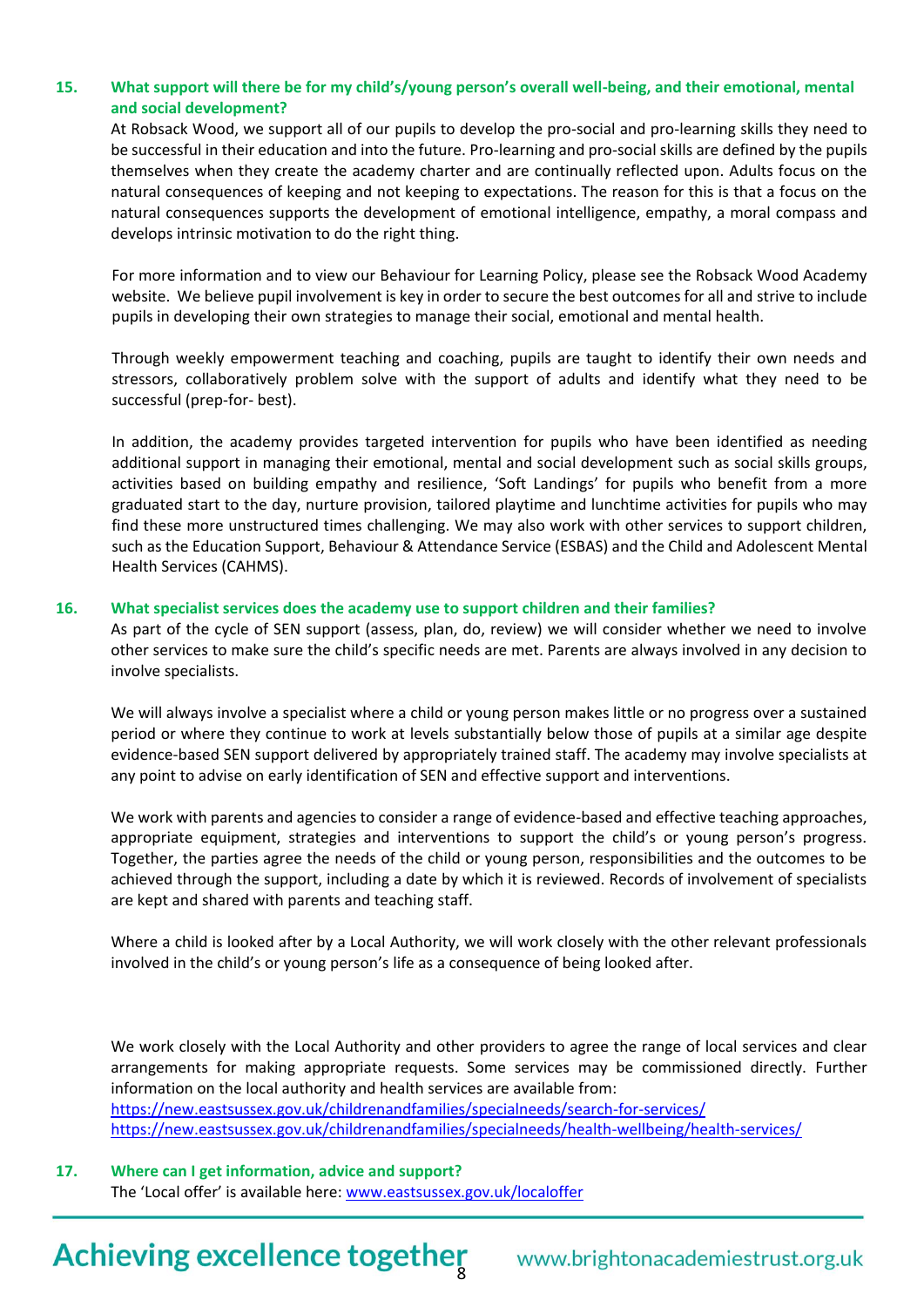### **15. What support will there be for my child's/young person's overall well-being, and their emotional, mental and social development?**

At Robsack Wood, we support all of our pupils to develop the pro-social and pro-learning skills they need to be successful in their education and into the future. Pro-learning and pro-social skills are defined by the pupils themselves when they create the academy charter and are continually reflected upon. Adults focus on the natural consequences of keeping and not keeping to expectations. The reason for this is that a focus on the natural consequences supports the development of emotional intelligence, empathy, a moral compass and develops intrinsic motivation to do the right thing.

For more information and to view our Behaviour for Learning Policy, please see the Robsack Wood Academy website. We believe pupil involvement is key in order to secure the best outcomes for all and strive to include pupils in developing their own strategies to manage their social, emotional and mental health.

Through weekly empowerment teaching and coaching, pupils are taught to identify their own needs and stressors, collaboratively problem solve with the support of adults and identify what they need to be successful (prep-for- best).

In addition, the academy provides targeted intervention for pupils who have been identified as needing additional support in managing their emotional, mental and social development such as social skills groups, activities based on building empathy and resilience, 'Soft Landings' for pupils who benefit from a more graduated start to the day, nurture provision, tailored playtime and lunchtime activities for pupils who may find these more unstructured times challenging. We may also work with other services to support children, such as the Education Support, Behaviour & Attendance Service (ESBAS) and the Child and Adolescent Mental Health Services (CAHMS).

#### **16. What specialist services does the academy use to support children and their families?**

As part of the cycle of SEN support (assess, plan, do, review) we will consider whether we need to involve other services to make sure the child's specific needs are met. Parents are always involved in any decision to involve specialists.

We will always involve a specialist where a child or young person makes little or no progress over a sustained period or where they continue to work at levels substantially below those of pupils at a similar age despite evidence-based SEN support delivered by appropriately trained staff. The academy may involve specialists at any point to advise on early identification of SEN and effective support and interventions.

We work with parents and agencies to consider a range of evidence-based and effective teaching approaches, appropriate equipment, strategies and interventions to support the child's or young person's progress. Together, the parties agree the needs of the child or young person, responsibilities and the outcomes to be achieved through the support, including a date by which it is reviewed. Records of involvement of specialists are kept and shared with parents and teaching staff.

Where a child is looked after by a Local Authority, we will work closely with the other relevant professionals involved in the child's or young person's life as a consequence of being looked after.

We work closely with the Local Authority and other providers to agree the range of local services and clear arrangements for making appropriate requests. Some services may be commissioned directly. Further information on the local authority and health services are available from: <https://new.eastsussex.gov.uk/childrenandfamilies/specialneeds/search-for-services/> <https://new.eastsussex.gov.uk/childrenandfamilies/specialneeds/health-wellbeing/health-services/>

**17. Where can I get information, advice and support?**  The 'Local offer' is available here: [www.eastsussex.gov.uk/localoffer](http://www.eastsussex.gov.uk/localoffer)

# Achieving excellence together

www.brightonacademiestrust.org.uk